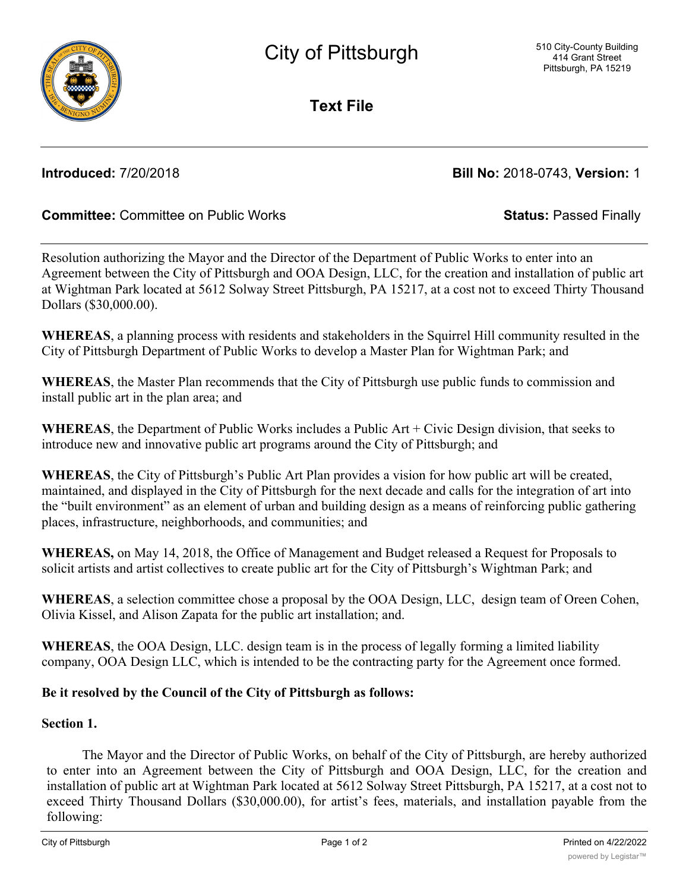**Text File**

# **Introduced:** 7/20/2018 **Bill No:** 2018-0743, **Version:** 1

## **Committee:** Committee on Public Works **Status:** Passed Finally

Resolution authorizing the Mayor and the Director of the Department of Public Works to enter into an Agreement between the City of Pittsburgh and OOA Design, LLC, for the creation and installation of public art at Wightman Park located at 5612 Solway Street Pittsburgh, PA 15217, at a cost not to exceed Thirty Thousand Dollars (\$30,000.00).

**WHEREAS**, a planning process with residents and stakeholders in the Squirrel Hill community resulted in the City of Pittsburgh Department of Public Works to develop a Master Plan for Wightman Park; and

**WHEREAS**, the Master Plan recommends that the City of Pittsburgh use public funds to commission and install public art in the plan area; and

**WHEREAS**, the Department of Public Works includes a Public Art + Civic Design division, that seeks to introduce new and innovative public art programs around the City of Pittsburgh; and

**WHEREAS**, the City of Pittsburgh's Public Art Plan provides a vision for how public art will be created, maintained, and displayed in the City of Pittsburgh for the next decade and calls for the integration of art into the "built environment" as an element of urban and building design as a means of reinforcing public gathering places, infrastructure, neighborhoods, and communities; and

**WHEREAS,** on May 14, 2018, the Office of Management and Budget released a Request for Proposals to solicit artists and artist collectives to create public art for the City of Pittsburgh's Wightman Park; and

**WHEREAS**, a selection committee chose a proposal by the OOA Design, LLC, design team of Oreen Cohen, Olivia Kissel, and Alison Zapata for the public art installation; and.

**WHEREAS**, the OOA Design, LLC. design team is in the process of legally forming a limited liability company, OOA Design LLC, which is intended to be the contracting party for the Agreement once formed.

## **Be it resolved by the Council of the City of Pittsburgh as follows:**

### **Section 1.**

The Mayor and the Director of Public Works, on behalf of the City of Pittsburgh, are hereby authorized to enter into an Agreement between the City of Pittsburgh and OOA Design, LLC, for the creation and installation of public art at Wightman Park located at 5612 Solway Street Pittsburgh, PA 15217, at a cost not to exceed Thirty Thousand Dollars (\$30,000.00), for artist's fees, materials, and installation payable from the following: